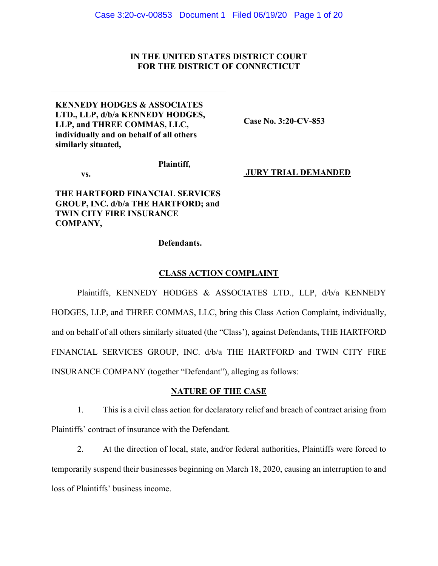## **IN THE UNITED STATES DISTRICT COURT FOR THE DISTRICT OF CONNECTICUT**

**KENNEDY HODGES & ASSOCIATES LTD., LLP, d/b/a KENNEDY HODGES, LLP, and THREE COMMAS, LLC, individually and on behalf of all others similarly situated,** 

**Case No. 3:20-CV-853** 

**Plaintiff,** 

**vs.** 

**THE HARTFORD FINANCIAL SERVICES GROUP, INC. d/b/a THE HARTFORD; and TWIN CITY FIRE INSURANCE COMPANY,** 

 **JURY TRIAL DEMANDED** 

**Defendants.**

## **CLASS ACTION COMPLAINT**

Plaintiffs, KENNEDY HODGES & ASSOCIATES LTD., LLP, d/b/a KENNEDY HODGES, LLP, and THREE COMMAS, LLC, bring this Class Action Complaint, individually, and on behalf of all others similarly situated (the "Class'), against Defendants**,** THE HARTFORD FINANCIAL SERVICES GROUP, INC. d/b/a THE HARTFORD and TWIN CITY FIRE INSURANCE COMPANY (together "Defendant"), alleging as follows:

## **NATURE OF THE CASE**

1. This is a civil class action for declaratory relief and breach of contract arising from Plaintiffs' contract of insurance with the Defendant.

2. At the direction of local, state, and/or federal authorities, Plaintiffs were forced to temporarily suspend their businesses beginning on March 18, 2020, causing an interruption to and loss of Plaintiffs' business income.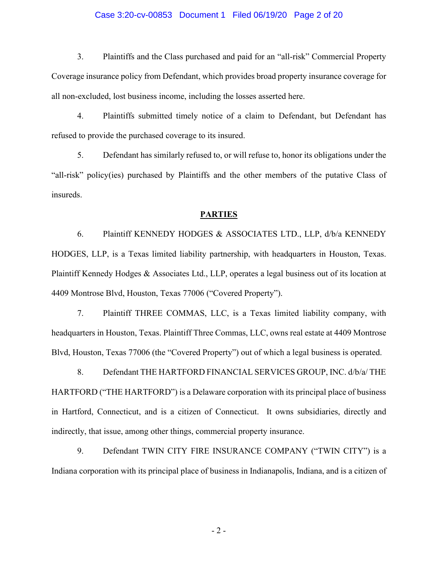### Case 3:20-cv-00853 Document 1 Filed 06/19/20 Page 2 of 20

3. Plaintiffs and the Class purchased and paid for an "all-risk" Commercial Property Coverage insurance policy from Defendant, which provides broad property insurance coverage for all non-excluded, lost business income, including the losses asserted here.

4. Plaintiffs submitted timely notice of a claim to Defendant, but Defendant has refused to provide the purchased coverage to its insured.

5. Defendant has similarly refused to, or will refuse to, honor its obligations under the "all-risk" policy(ies) purchased by Plaintiffs and the other members of the putative Class of insureds.

### **PARTIES**

6. Plaintiff KENNEDY HODGES & ASSOCIATES LTD., LLP, d/b/a KENNEDY HODGES, LLP, is a Texas limited liability partnership, with headquarters in Houston, Texas. Plaintiff Kennedy Hodges & Associates Ltd., LLP, operates a legal business out of its location at 4409 Montrose Blvd, Houston, Texas 77006 ("Covered Property").

7. Plaintiff THREE COMMAS, LLC, is a Texas limited liability company, with headquarters in Houston, Texas. Plaintiff Three Commas, LLC, owns real estate at 4409 Montrose Blvd, Houston, Texas 77006 (the "Covered Property") out of which a legal business is operated.

8. Defendant THE HARTFORD FINANCIAL SERVICES GROUP, INC. d/b/a/ THE HARTFORD ("THE HARTFORD") is a Delaware corporation with its principal place of business in Hartford, Connecticut, and is a citizen of Connecticut. It owns subsidiaries, directly and indirectly, that issue, among other things, commercial property insurance.

9. Defendant TWIN CITY FIRE INSURANCE COMPANY ("TWIN CITY") is a Indiana corporation with its principal place of business in Indianapolis, Indiana, and is a citizen of

- 2 -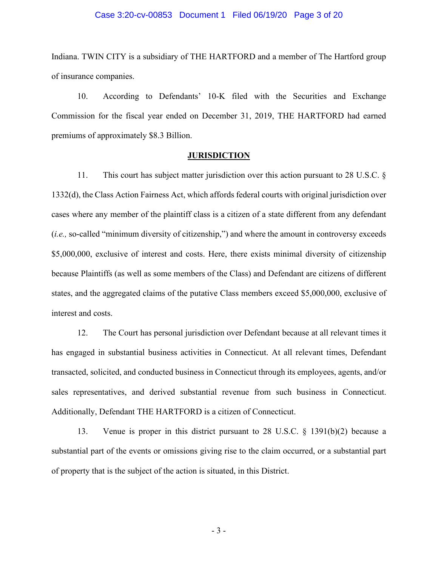### Case 3:20-cv-00853 Document 1 Filed 06/19/20 Page 3 of 20

Indiana. TWIN CITY is a subsidiary of THE HARTFORD and a member of The Hartford group of insurance companies.

10. According to Defendants' 10-K filed with the Securities and Exchange Commission for the fiscal year ended on December 31, 2019, THE HARTFORD had earned premiums of approximately \$8.3 Billion.

### **JURISDICTION**

11. This court has subject matter jurisdiction over this action pursuant to 28 U.S.C. § 1332(d), the Class Action Fairness Act, which affords federal courts with original jurisdiction over cases where any member of the plaintiff class is a citizen of a state different from any defendant (*i.e.,* so-called "minimum diversity of citizenship,") and where the amount in controversy exceeds \$5,000,000, exclusive of interest and costs. Here, there exists minimal diversity of citizenship because Plaintiffs (as well as some members of the Class) and Defendant are citizens of different states, and the aggregated claims of the putative Class members exceed \$5,000,000, exclusive of interest and costs.

12. The Court has personal jurisdiction over Defendant because at all relevant times it has engaged in substantial business activities in Connecticut. At all relevant times, Defendant transacted, solicited, and conducted business in Connecticut through its employees, agents, and/or sales representatives, and derived substantial revenue from such business in Connecticut. Additionally, Defendant THE HARTFORD is a citizen of Connecticut.

13. Venue is proper in this district pursuant to 28 U.S.C. § 1391(b)(2) because a substantial part of the events or omissions giving rise to the claim occurred, or a substantial part of property that is the subject of the action is situated, in this District.

- 3 -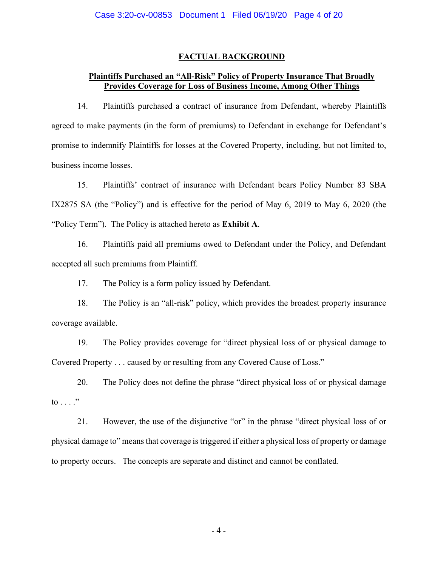# **FACTUAL BACKGROUND**

# **Plaintiffs Purchased an "All-Risk" Policy of Property Insurance That Broadly Provides Coverage for Loss of Business Income, Among Other Things**

14. Plaintiffs purchased a contract of insurance from Defendant, whereby Plaintiffs agreed to make payments (in the form of premiums) to Defendant in exchange for Defendant's promise to indemnify Plaintiffs for losses at the Covered Property, including, but not limited to, business income losses.

15. Plaintiffs' contract of insurance with Defendant bears Policy Number 83 SBA IX2875 SA (the "Policy") and is effective for the period of May 6, 2019 to May 6, 2020 (the "Policy Term"). The Policy is attached hereto as **Exhibit A**.

16. Plaintiffs paid all premiums owed to Defendant under the Policy, and Defendant accepted all such premiums from Plaintiff.

17. The Policy is a form policy issued by Defendant.

18. The Policy is an "all-risk" policy, which provides the broadest property insurance coverage available.

19. The Policy provides coverage for "direct physical loss of or physical damage to Covered Property . . . caused by or resulting from any Covered Cause of Loss."

20. The Policy does not define the phrase "direct physical loss of or physical damage to  $\ldots$  ."

21. However, the use of the disjunctive "or" in the phrase "direct physical loss of or physical damage to" means that coverage is triggered if either a physical loss of property or damage to property occurs. The concepts are separate and distinct and cannot be conflated.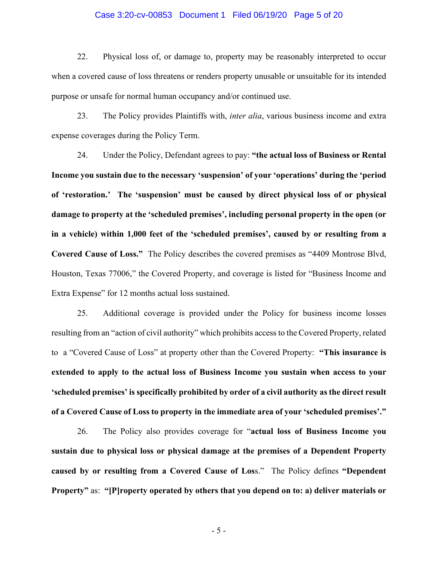#### Case 3:20-cv-00853 Document 1 Filed 06/19/20 Page 5 of 20

22. Physical loss of, or damage to, property may be reasonably interpreted to occur when a covered cause of loss threatens or renders property unusable or unsuitable for its intended purpose or unsafe for normal human occupancy and/or continued use.

23. The Policy provides Plaintiffs with, *inter alia*, various business income and extra expense coverages during the Policy Term.

24. Under the Policy, Defendant agrees to pay: **"the actual loss of Business or Rental Income you sustain due to the necessary 'suspension' of your 'operations' during the 'period of 'restoration.' The 'suspension' must be caused by direct physical loss of or physical damage to property at the 'scheduled premises', including personal property in the open (or in a vehicle) within 1,000 feet of the 'scheduled premises', caused by or resulting from a Covered Cause of Loss."** The Policy describes the covered premises as "4409 Montrose Blvd, Houston, Texas 77006," the Covered Property, and coverage is listed for "Business Income and Extra Expense" for 12 months actual loss sustained.

25. Additional coverage is provided under the Policy for business income losses resulting from an "action of civil authority" which prohibits access to the Covered Property, related to a "Covered Cause of Loss" at property other than the Covered Property: **"This insurance is extended to apply to the actual loss of Business Income you sustain when access to your 'scheduled premises' is specifically prohibited by order of a civil authority as the direct result of a Covered Cause of Loss to property in the immediate area of your 'scheduled premises'."** 

26. The Policy also provides coverage for "**actual loss of Business Income you sustain due to physical loss or physical damage at the premises of a Dependent Property caused by or resulting from a Covered Cause of Los**s." The Policy defines **"Dependent Property"** as: **"[P]roperty operated by others that you depend on to: a) deliver materials or** 

- 5 -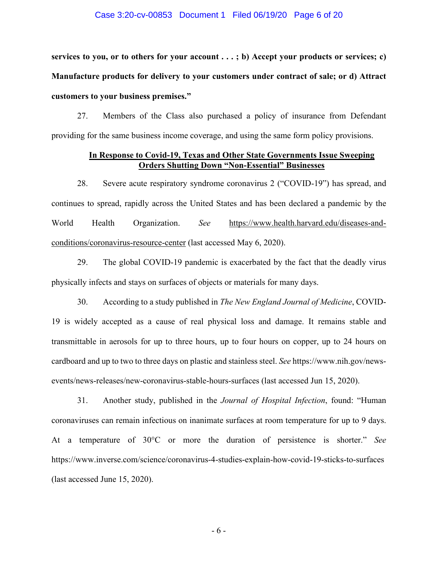### Case 3:20-cv-00853 Document 1 Filed 06/19/20 Page 6 of 20

**services to you, or to others for your account . . . ; b) Accept your products or services; c) Manufacture products for delivery to your customers under contract of sale; or d) Attract customers to your business premises."** 

27. Members of the Class also purchased a policy of insurance from Defendant providing for the same business income coverage, and using the same form policy provisions.

## **In Response to Covid-19, Texas and Other State Governments Issue Sweeping Orders Shutting Down "Non-Essential" Businesses**

28. Severe acute respiratory syndrome coronavirus 2 ("COVID-19") has spread, and continues to spread, rapidly across the United States and has been declared a pandemic by the World Health Organization. *See* https://www.health.harvard.edu/diseases-andconditions/coronavirus-resource-center (last accessed May 6, 2020).

29. The global COVID-19 pandemic is exacerbated by the fact that the deadly virus physically infects and stays on surfaces of objects or materials for many days.

30. According to a study published in *The New England Journal of Medicine*, COVID-19 is widely accepted as a cause of real physical loss and damage. It remains stable and transmittable in aerosols for up to three hours, up to four hours on copper, up to 24 hours on cardboard and up to two to three days on plastic and stainless steel. *See* https://www.nih.gov/newsevents/news-releases/new-coronavirus-stable-hours-surfaces (last accessed Jun 15, 2020).

31. Another study, published in the *Journal of Hospital Infection*, found: "Human coronaviruses can remain infectious on inanimate surfaces at room temperature for up to 9 days. At a temperature of 30°C or more the duration of persistence is shorter." *See*  https://www.inverse.com/science/coronavirus-4-studies-explain-how-covid-19-sticks-to-surfaces (last accessed June 15, 2020).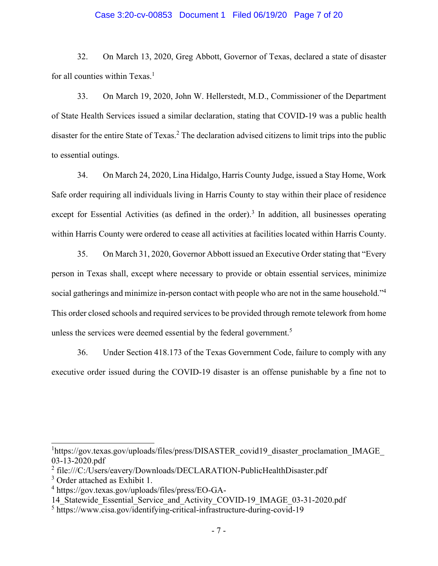#### Case 3:20-cv-00853 Document 1 Filed 06/19/20 Page 7 of 20

32. On March 13, 2020, Greg Abbott, Governor of Texas, declared a state of disaster for all counties within Texas.<sup>1</sup>

33. On March 19, 2020, John W. Hellerstedt, M.D., Commissioner of the Department of State Health Services issued a similar declaration, stating that COVID-19 was a public health disaster for the entire State of Texas.<sup>2</sup> The declaration advised citizens to limit trips into the public to essential outings.

34. On March 24, 2020, Lina Hidalgo, Harris County Judge, issued a Stay Home, Work Safe order requiring all individuals living in Harris County to stay within their place of residence except for Essential Activities (as defined in the order).<sup>3</sup> In addition, all businesses operating within Harris County were ordered to cease all activities at facilities located within Harris County.

35. On March 31, 2020, Governor Abbott issued an Executive Order stating that "Every person in Texas shall, except where necessary to provide or obtain essential services, minimize social gatherings and minimize in-person contact with people who are not in the same household."<sup>4</sup> This order closed schools and required services to be provided through remote telework from home unless the services were deemed essential by the federal government.<sup>5</sup>

36. Under Section 418.173 of the Texas Government Code, failure to comply with any executive order issued during the COVID-19 disaster is an offense punishable by a fine not to

<sup>&</sup>lt;sup>1</sup>https://gov.texas.gov/uploads/files/press/DISASTER\_covid19\_disaster\_proclamation\_IMAGE\_ 03-13-2020.pdf

<sup>&</sup>lt;sup>2</sup> file:///C:/Users/eavery/Downloads/DECLARATION-PublicHealthDisaster.pdf

<sup>3</sup> Order attached as Exhibit 1.

<sup>4</sup> https://gov.texas.gov/uploads/files/press/EO-GA-

<sup>14</sup> Statewide Essential Service and Activity COVID-19 IMAGE 03-31-2020.pdf

<sup>5</sup> https://www.cisa.gov/identifying-critical-infrastructure-during-covid-19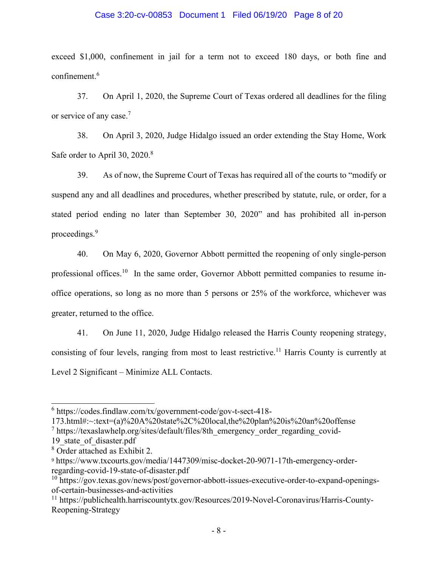### Case 3:20-cv-00853 Document 1 Filed 06/19/20 Page 8 of 20

exceed \$1,000, confinement in jail for a term not to exceed 180 days, or both fine and confinement.<sup>6</sup>

37. On April 1, 2020, the Supreme Court of Texas ordered all deadlines for the filing or service of any case.<sup>7</sup>

38. On April 3, 2020, Judge Hidalgo issued an order extending the Stay Home, Work Safe order to April 30, 2020.<sup>8</sup>

39. As of now, the Supreme Court of Texas has required all of the courts to "modify or suspend any and all deadlines and procedures, whether prescribed by statute, rule, or order, for a stated period ending no later than September 30, 2020" and has prohibited all in-person proceedings.<sup>9</sup>

40. On May 6, 2020, Governor Abbott permitted the reopening of only single-person professional offices.<sup>10</sup> In the same order, Governor Abbott permitted companies to resume inoffice operations, so long as no more than 5 persons or 25% of the workforce, whichever was greater, returned to the office.

41. On June 11, 2020, Judge Hidalgo released the Harris County reopening strategy, consisting of four levels, ranging from most to least restrictive.<sup>11</sup> Harris County is currently at Level 2 Significant – Minimize ALL Contacts.

<sup>6</sup> https://codes.findlaw.com/tx/government-code/gov-t-sect-418-

<sup>173.</sup>html#:~:text=(a)%20A%20state%2C%20local,the%20plan%20is%20an%20offense

<sup>&</sup>lt;sup>7</sup> https://texaslawhelp.org/sites/default/files/8th\_emergency\_order\_regarding\_covid-

<sup>19</sup>\_state\_of\_disaster.pdf

<sup>8</sup> Order attached as Exhibit 2.

<sup>9</sup> https://www.txcourts.gov/media/1447309/misc-docket-20-9071-17th-emergency-orderregarding-covid-19-state-of-disaster.pdf

<sup>&</sup>lt;sup>10</sup> https://gov.texas.gov/news/post/governor-abbott-issues-executive-order-to-expand-openingsof-certain-businesses-and-activities

<sup>11</sup> https://publichealth.harriscountytx.gov/Resources/2019-Novel-Coronavirus/Harris-County-Reopening-Strategy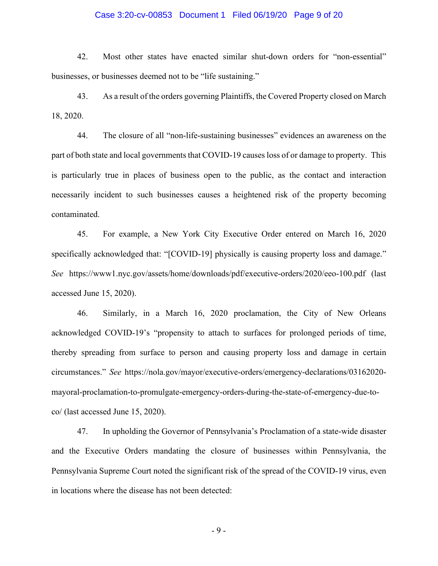### Case 3:20-cv-00853 Document 1 Filed 06/19/20 Page 9 of 20

42. Most other states have enacted similar shut-down orders for "non-essential" businesses, or businesses deemed not to be "life sustaining."

43. As a result of the orders governing Plaintiffs, the Covered Property closed on March 18, 2020.

44. The closure of all "non-life-sustaining businesses" evidences an awareness on the part of both state and local governments that COVID-19 causes loss of or damage to property. This is particularly true in places of business open to the public, as the contact and interaction necessarily incident to such businesses causes a heightened risk of the property becoming contaminated.

45. For example, a New York City Executive Order entered on March 16, 2020 specifically acknowledged that: "[COVID-19] physically is causing property loss and damage." *See* https://www1.nyc.gov/assets/home/downloads/pdf/executive-orders/2020/eeo-100.pdf (last accessed June 15, 2020).

46. Similarly, in a March 16, 2020 proclamation, the City of New Orleans acknowledged COVID-19's "propensity to attach to surfaces for prolonged periods of time, thereby spreading from surface to person and causing property loss and damage in certain circumstances." *See* https://nola.gov/mayor/executive-orders/emergency-declarations/03162020 mayoral-proclamation-to-promulgate-emergency-orders-during-the-state-of-emergency-due-toco/ (last accessed June 15, 2020).

47. In upholding the Governor of Pennsylvania's Proclamation of a state-wide disaster and the Executive Orders mandating the closure of businesses within Pennsylvania, the Pennsylvania Supreme Court noted the significant risk of the spread of the COVID-19 virus, even in locations where the disease has not been detected:

- 9 -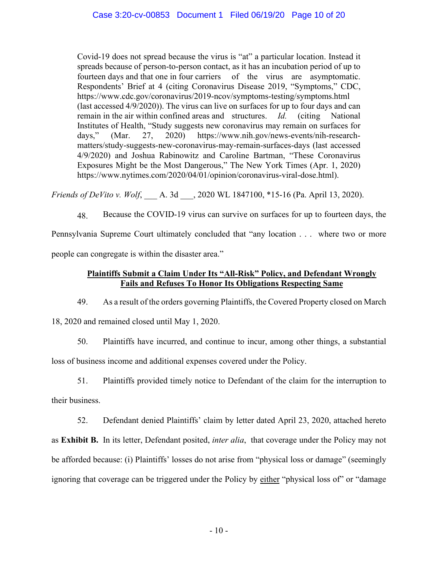Covid-19 does not spread because the virus is "at" a particular location. Instead it spreads because of person-to-person contact, as it has an incubation period of up to fourteen days and that one in four carriers of the virus are asymptomatic. Respondents' Brief at 4 (citing Coronavirus Disease 2019, "Symptoms," CDC, https://www.cdc.gov/coronavirus/2019-ncov/symptoms-testing/symptoms.html (last accessed 4/9/2020)). The virus can live on surfaces for up to four days and can remain in the air within confined areas and structures. *Id.* (citing National Institutes of Health, "Study suggests new coronavirus may remain on surfaces for days," (Mar. 27, 2020) https://www.nih.gov/news-events/nih-researchmatters/study-suggests-new-coronavirus-may-remain-surfaces-days (last accessed 4/9/2020) and Joshua Rabinowitz and Caroline Bartman, "These Coronavirus Exposures Might be the Most Dangerous," The New York Times (Apr. 1, 2020) https://www.nytimes.com/2020/04/01/opinion/coronavirus-viral-dose.html).

*Friends of DeVito v. Wolf*, A. 3d ... 2020 WL 1847100, \*15-16 (Pa. April 13, 2020).

48. Because the COVID-19 virus can survive on surfaces for up to fourteen days, the Pennsylvania Supreme Court ultimately concluded that "any location . . . where two or more people can congregate is within the disaster area."

# **Plaintiffs Submit a Claim Under Its "All-Risk" Policy, and Defendant Wrongly Fails and Refuses To Honor Its Obligations Respecting Same**

49. As a result of the orders governing Plaintiffs, the Covered Property closed on March

18, 2020 and remained closed until May 1, 2020.

50. Plaintiffs have incurred, and continue to incur, among other things, a substantial loss of business income and additional expenses covered under the Policy.

51. Plaintiffs provided timely notice to Defendant of the claim for the interruption to their business.

52. Defendant denied Plaintiffs' claim by letter dated April 23, 2020, attached hereto as **Exhibit B.** In its letter, Defendant posited, *inter alia*, that coverage under the Policy may not be afforded because: (i) Plaintiffs' losses do not arise from "physical loss or damage" (seemingly ignoring that coverage can be triggered under the Policy by either "physical loss of" or "damage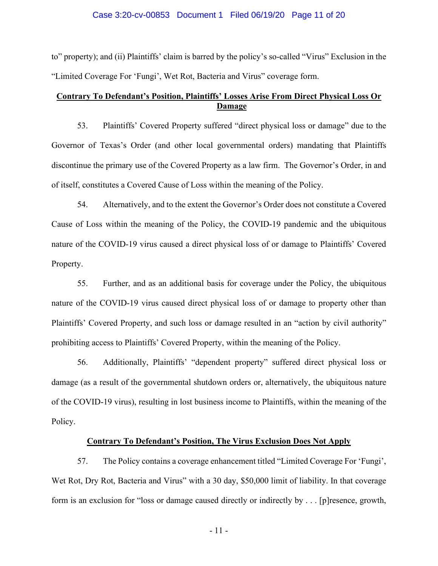### Case 3:20-cv-00853 Document 1 Filed 06/19/20 Page 11 of 20

to" property); and (ii) Plaintiffs' claim is barred by the policy's so-called "Virus" Exclusion in the "Limited Coverage For 'Fungi', Wet Rot, Bacteria and Virus" coverage form.

# **Contrary To Defendant's Position, Plaintiffs' Losses Arise From Direct Physical Loss Or Damage**

53. Plaintiffs' Covered Property suffered "direct physical loss or damage" due to the Governor of Texas's Order (and other local governmental orders) mandating that Plaintiffs discontinue the primary use of the Covered Property as a law firm. The Governor's Order, in and of itself, constitutes a Covered Cause of Loss within the meaning of the Policy.

54. Alternatively, and to the extent the Governor's Order does not constitute a Covered Cause of Loss within the meaning of the Policy, the COVID-19 pandemic and the ubiquitous nature of the COVID-19 virus caused a direct physical loss of or damage to Plaintiffs' Covered Property.

55. Further, and as an additional basis for coverage under the Policy, the ubiquitous nature of the COVID-19 virus caused direct physical loss of or damage to property other than Plaintiffs' Covered Property, and such loss or damage resulted in an "action by civil authority" prohibiting access to Plaintiffs' Covered Property, within the meaning of the Policy.

56. Additionally, Plaintiffs' "dependent property" suffered direct physical loss or damage (as a result of the governmental shutdown orders or, alternatively, the ubiquitous nature of the COVID-19 virus), resulting in lost business income to Plaintiffs, within the meaning of the Policy.

### **Contrary To Defendant's Position, The Virus Exclusion Does Not Apply**

57. The Policy contains a coverage enhancement titled "Limited Coverage For 'Fungi', Wet Rot, Dry Rot, Bacteria and Virus" with a 30 day, \$50,000 limit of liability. In that coverage form is an exclusion for "loss or damage caused directly or indirectly by . . . [p]resence, growth,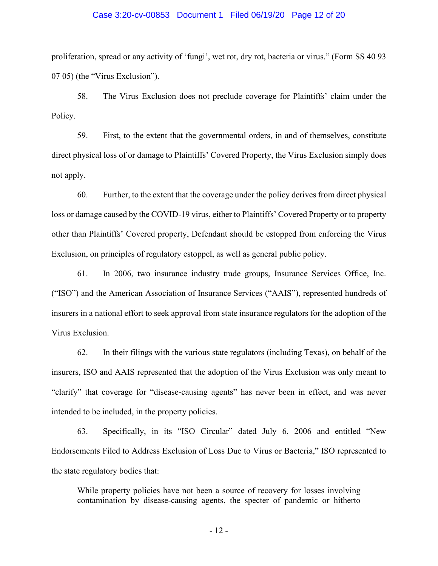### Case 3:20-cv-00853 Document 1 Filed 06/19/20 Page 12 of 20

proliferation, spread or any activity of 'fungi', wet rot, dry rot, bacteria or virus." (Form SS 40 93 07 05) (the "Virus Exclusion").

58. The Virus Exclusion does not preclude coverage for Plaintiffs' claim under the Policy.

59. First, to the extent that the governmental orders, in and of themselves, constitute direct physical loss of or damage to Plaintiffs' Covered Property, the Virus Exclusion simply does not apply.

60. Further, to the extent that the coverage under the policy derives from direct physical loss or damage caused by the COVID-19 virus, either to Plaintiffs' Covered Property or to property other than Plaintiffs' Covered property, Defendant should be estopped from enforcing the Virus Exclusion, on principles of regulatory estoppel, as well as general public policy.

61. In 2006, two insurance industry trade groups, Insurance Services Office, Inc. ("ISO") and the American Association of Insurance Services ("AAIS"), represented hundreds of insurers in a national effort to seek approval from state insurance regulators for the adoption of the Virus Exclusion.

62. In their filings with the various state regulators (including Texas), on behalf of the insurers, ISO and AAIS represented that the adoption of the Virus Exclusion was only meant to "clarify" that coverage for "disease-causing agents" has never been in effect, and was never intended to be included, in the property policies.

63. Specifically, in its "ISO Circular" dated July 6, 2006 and entitled "New Endorsements Filed to Address Exclusion of Loss Due to Virus or Bacteria," ISO represented to the state regulatory bodies that:

While property policies have not been a source of recovery for losses involving contamination by disease-causing agents, the specter of pandemic or hitherto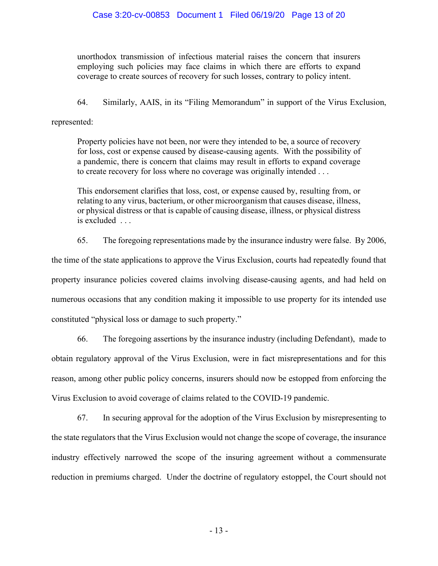unorthodox transmission of infectious material raises the concern that insurers employing such policies may face claims in which there are efforts to expand coverage to create sources of recovery for such losses, contrary to policy intent.

64. Similarly, AAIS, in its "Filing Memorandum" in support of the Virus Exclusion,

represented:

Property policies have not been, nor were they intended to be, a source of recovery for loss, cost or expense caused by disease-causing agents. With the possibility of a pandemic, there is concern that claims may result in efforts to expand coverage to create recovery for loss where no coverage was originally intended . . .

This endorsement clarifies that loss, cost, or expense caused by, resulting from, or relating to any virus, bacterium, or other microorganism that causes disease, illness, or physical distress or that is capable of causing disease, illness, or physical distress is excluded . . .

65. The foregoing representations made by the insurance industry were false. By 2006,

the time of the state applications to approve the Virus Exclusion, courts had repeatedly found that property insurance policies covered claims involving disease-causing agents, and had held on numerous occasions that any condition making it impossible to use property for its intended use constituted "physical loss or damage to such property."

66. The foregoing assertions by the insurance industry (including Defendant), made to obtain regulatory approval of the Virus Exclusion, were in fact misrepresentations and for this reason, among other public policy concerns, insurers should now be estopped from enforcing the Virus Exclusion to avoid coverage of claims related to the COVID-19 pandemic.

67. In securing approval for the adoption of the Virus Exclusion by misrepresenting to the state regulators that the Virus Exclusion would not change the scope of coverage, the insurance industry effectively narrowed the scope of the insuring agreement without a commensurate reduction in premiums charged. Under the doctrine of regulatory estoppel, the Court should not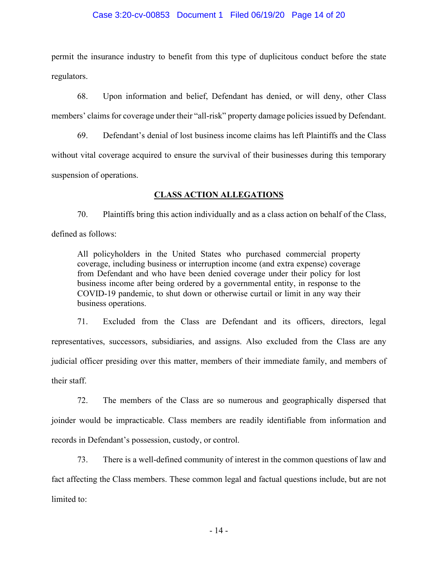### Case 3:20-cv-00853 Document 1 Filed 06/19/20 Page 14 of 20

permit the insurance industry to benefit from this type of duplicitous conduct before the state regulators.

68. Upon information and belief, Defendant has denied, or will deny, other Class members' claims for coverage under their "all-risk" property damage policies issued by Defendant.

69. Defendant's denial of lost business income claims has left Plaintiffs and the Class without vital coverage acquired to ensure the survival of their businesses during this temporary suspension of operations.

# **CLASS ACTION ALLEGATIONS**

70. Plaintiffs bring this action individually and as a class action on behalf of the Class, defined as follows:

All policyholders in the United States who purchased commercial property coverage, including business or interruption income (and extra expense) coverage from Defendant and who have been denied coverage under their policy for lost business income after being ordered by a governmental entity, in response to the COVID-19 pandemic, to shut down or otherwise curtail or limit in any way their business operations.

71. Excluded from the Class are Defendant and its officers, directors, legal representatives, successors, subsidiaries, and assigns. Also excluded from the Class are any judicial officer presiding over this matter, members of their immediate family, and members of their staff.

72. The members of the Class are so numerous and geographically dispersed that joinder would be impracticable. Class members are readily identifiable from information and records in Defendant's possession, custody, or control.

73. There is a well-defined community of interest in the common questions of law and fact affecting the Class members. These common legal and factual questions include, but are not limited to: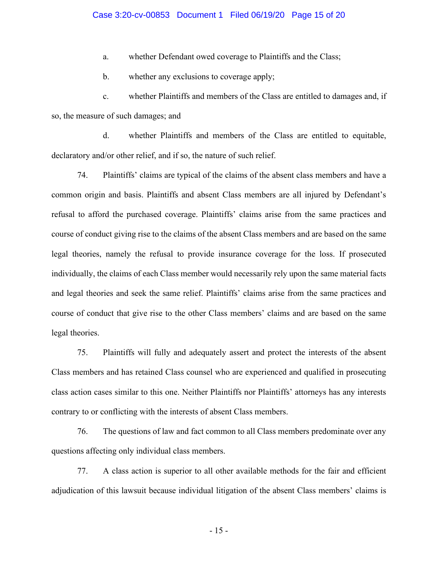### Case 3:20-cv-00853 Document 1 Filed 06/19/20 Page 15 of 20

a. whether Defendant owed coverage to Plaintiffs and the Class;

b. whether any exclusions to coverage apply;

c. whether Plaintiffs and members of the Class are entitled to damages and, if so, the measure of such damages; and

d. whether Plaintiffs and members of the Class are entitled to equitable, declaratory and/or other relief, and if so, the nature of such relief.

74. Plaintiffs' claims are typical of the claims of the absent class members and have a common origin and basis. Plaintiffs and absent Class members are all injured by Defendant's refusal to afford the purchased coverage. Plaintiffs' claims arise from the same practices and course of conduct giving rise to the claims of the absent Class members and are based on the same legal theories, namely the refusal to provide insurance coverage for the loss. If prosecuted individually, the claims of each Class member would necessarily rely upon the same material facts and legal theories and seek the same relief. Plaintiffs' claims arise from the same practices and course of conduct that give rise to the other Class members' claims and are based on the same legal theories.

75. Plaintiffs will fully and adequately assert and protect the interests of the absent Class members and has retained Class counsel who are experienced and qualified in prosecuting class action cases similar to this one. Neither Plaintiffs nor Plaintiffs' attorneys has any interests contrary to or conflicting with the interests of absent Class members.

76. The questions of law and fact common to all Class members predominate over any questions affecting only individual class members.

77. A class action is superior to all other available methods for the fair and efficient adjudication of this lawsuit because individual litigation of the absent Class members' claims is

- 15 -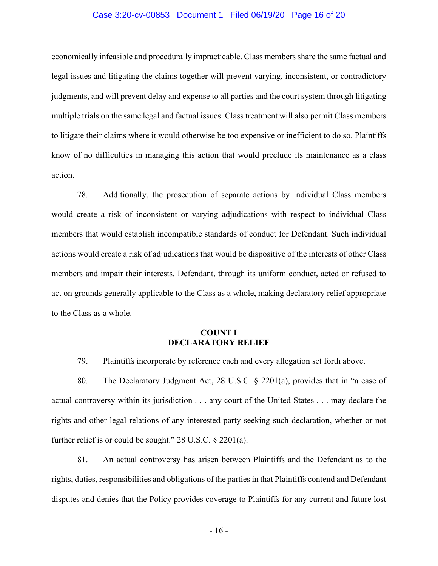### Case 3:20-cv-00853 Document 1 Filed 06/19/20 Page 16 of 20

economically infeasible and procedurally impracticable. Class members share the same factual and legal issues and litigating the claims together will prevent varying, inconsistent, or contradictory judgments, and will prevent delay and expense to all parties and the court system through litigating multiple trials on the same legal and factual issues. Class treatment will also permit Class members to litigate their claims where it would otherwise be too expensive or inefficient to do so. Plaintiffs know of no difficulties in managing this action that would preclude its maintenance as a class action.

78. Additionally, the prosecution of separate actions by individual Class members would create a risk of inconsistent or varying adjudications with respect to individual Class members that would establish incompatible standards of conduct for Defendant. Such individual actions would create a risk of adjudications that would be dispositive of the interests of other Class members and impair their interests. Defendant, through its uniform conduct, acted or refused to act on grounds generally applicable to the Class as a whole, making declaratory relief appropriate to the Class as a whole.

### **COUNT I DECLARATORY RELIEF**

79. Plaintiffs incorporate by reference each and every allegation set forth above.

80. The Declaratory Judgment Act, 28 U.S.C. § 2201(a), provides that in "a case of actual controversy within its jurisdiction . . . any court of the United States . . . may declare the rights and other legal relations of any interested party seeking such declaration, whether or not further relief is or could be sought." 28 U.S.C. § 2201(a).

81. An actual controversy has arisen between Plaintiffs and the Defendant as to the rights, duties, responsibilities and obligations of the parties in that Plaintiffs contend and Defendant disputes and denies that the Policy provides coverage to Plaintiffs for any current and future lost

- 16 -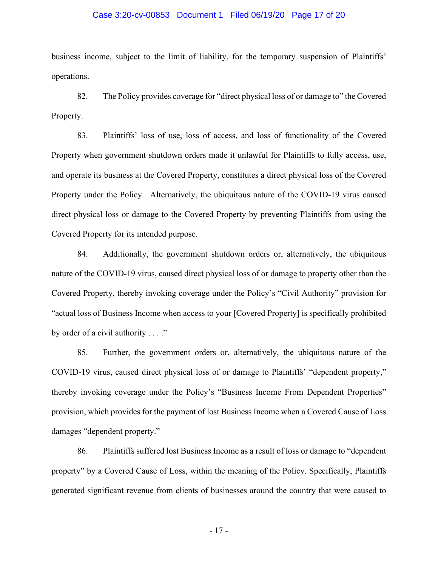#### Case 3:20-cv-00853 Document 1 Filed 06/19/20 Page 17 of 20

business income, subject to the limit of liability, for the temporary suspension of Plaintiffs' operations.

82. The Policy provides coverage for "direct physical loss of or damage to" the Covered Property.

83. Plaintiffs' loss of use, loss of access, and loss of functionality of the Covered Property when government shutdown orders made it unlawful for Plaintiffs to fully access, use, and operate its business at the Covered Property, constitutes a direct physical loss of the Covered Property under the Policy. Alternatively, the ubiquitous nature of the COVID-19 virus caused direct physical loss or damage to the Covered Property by preventing Plaintiffs from using the Covered Property for its intended purpose.

84. Additionally, the government shutdown orders or, alternatively, the ubiquitous nature of the COVID-19 virus, caused direct physical loss of or damage to property other than the Covered Property, thereby invoking coverage under the Policy's "Civil Authority" provision for "actual loss of Business Income when access to your [Covered Property] is specifically prohibited by order of a civil authority . . . ."

85. Further, the government orders or, alternatively, the ubiquitous nature of the COVID-19 virus, caused direct physical loss of or damage to Plaintiffs' "dependent property," thereby invoking coverage under the Policy's "Business Income From Dependent Properties" provision, which provides for the payment of lost Business Income when a Covered Cause of Loss damages "dependent property."

86. Plaintiffs suffered lost Business Income as a result of loss or damage to "dependent property" by a Covered Cause of Loss, within the meaning of the Policy. Specifically, Plaintiffs generated significant revenue from clients of businesses around the country that were caused to

- 17 -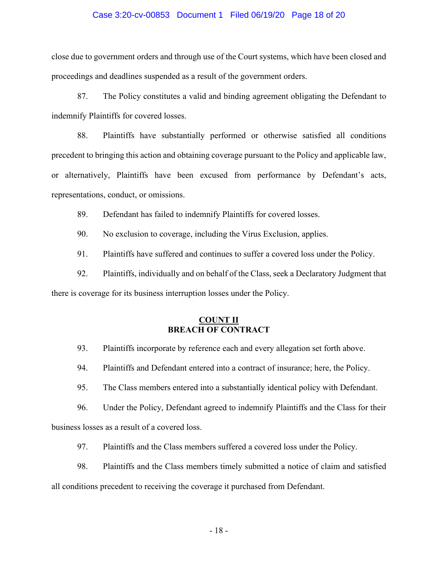### Case 3:20-cv-00853 Document 1 Filed 06/19/20 Page 18 of 20

close due to government orders and through use of the Court systems, which have been closed and proceedings and deadlines suspended as a result of the government orders.

87. The Policy constitutes a valid and binding agreement obligating the Defendant to indemnify Plaintiffs for covered losses.

88. Plaintiffs have substantially performed or otherwise satisfied all conditions precedent to bringing this action and obtaining coverage pursuant to the Policy and applicable law, or alternatively, Plaintiffs have been excused from performance by Defendant's acts, representations, conduct, or omissions.

89. Defendant has failed to indemnify Plaintiffs for covered losses.

90. No exclusion to coverage, including the Virus Exclusion, applies.

91. Plaintiffs have suffered and continues to suffer a covered loss under the Policy.

92. Plaintiffs, individually and on behalf of the Class, seek a Declaratory Judgment that there is coverage for its business interruption losses under the Policy.

## **COUNT II BREACH OF CONTRACT**

93. Plaintiffs incorporate by reference each and every allegation set forth above.

94. Plaintiffs and Defendant entered into a contract of insurance; here, the Policy.

95. The Class members entered into a substantially identical policy with Defendant.

96. Under the Policy, Defendant agreed to indemnify Plaintiffs and the Class for their business losses as a result of a covered loss.

97. Plaintiffs and the Class members suffered a covered loss under the Policy.

98. Plaintiffs and the Class members timely submitted a notice of claim and satisfied

all conditions precedent to receiving the coverage it purchased from Defendant.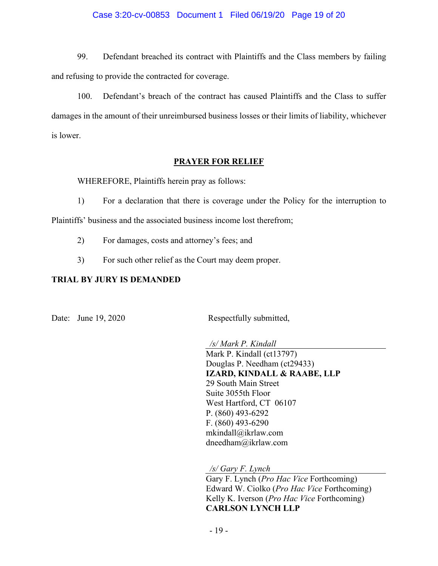### Case 3:20-cv-00853 Document 1 Filed 06/19/20 Page 19 of 20

99. Defendant breached its contract with Plaintiffs and the Class members by failing and refusing to provide the contracted for coverage.

100. Defendant's breach of the contract has caused Plaintiffs and the Class to suffer damages in the amount of their unreimbursed business losses or their limits of liability, whichever is lower.

## **PRAYER FOR RELIEF**

WHEREFORE, Plaintiffs herein pray as follows:

1) For a declaration that there is coverage under the Policy for the interruption to Plaintiffs' business and the associated business income lost therefrom;

- 2) For damages, costs and attorney's fees; and
- 3) For such other relief as the Court may deem proper.

# **TRIAL BY JURY IS DEMANDED**

Date: June 19, 2020 Respectfully submitted,

*/s/ Mark P. Kindall* Mark P. Kindall (ct13797) Douglas P. Needham (ct29433) **IZARD, KINDALL & RAABE, LLP**  29 South Main Street Suite 3055th Floor West Hartford, CT 06107 P. (860) 493-6292 F. (860) 493-6290 mkindall@ikrlaw.com dneedham@ikrlaw.com

*/s/ Gary F. Lynch*

Gary F. Lynch (*Pro Hac Vice* Forthcoming) Edward W. Ciolko (*Pro Hac Vice* Forthcoming) Kelly K. Iverson (*Pro Hac Vice* Forthcoming) **CARLSON LYNCH LLP**